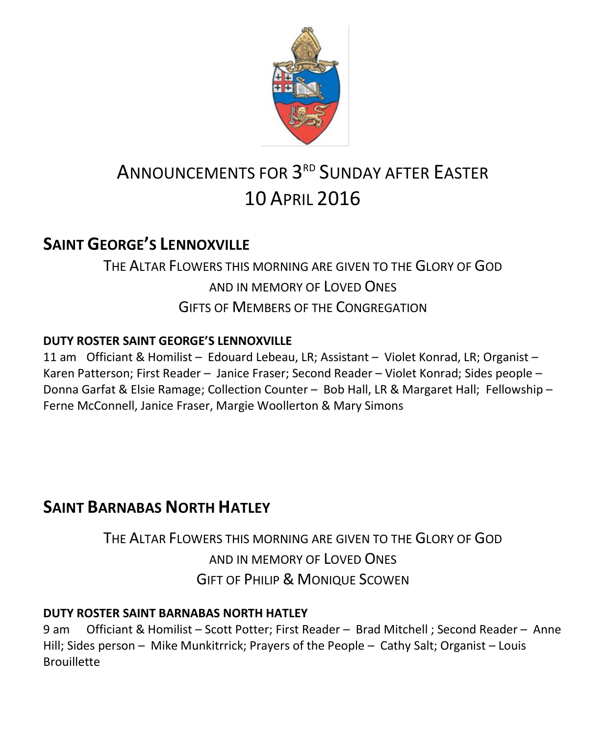

# ANNOUNCEMENTS FOR 3<sup>rd</sup> SUNDAY AFTER EASTER 10 APRIL 2016

### **SAINT GEORGE'S LENNOXVILLE**

# THE ALTAR FLOWERS THIS MORNING ARE GIVEN TO THE GLORY OF GOD AND IN MEMORY OF LOVED ONES GIFTS OF MEMBERS OF THE CONGREGATION

### **DUTY ROSTER SAINT GEORGE'S LENNOXVILLE**

11 am Officiant & Homilist – Edouard Lebeau, LR; Assistant – Violet Konrad, LR; Organist – Karen Patterson; First Reader – Janice Fraser; Second Reader – Violet Konrad; Sides people – Donna Garfat & Elsie Ramage; Collection Counter – Bob Hall, LR & Margaret Hall; Fellowship – Ferne McConnell, Janice Fraser, Margie Woollerton & Mary Simons

# **SAINT BARNABAS NORTH HATLEY**

THE ALTAR FLOWERS THIS MORNING ARE GIVEN TO THE GLORY OF GOD AND IN MEMORY OF LOVED ONES GIFT OF PHILIP & MONIQUE SCOWEN

### **DUTY ROSTER SAINT BARNABAS NORTH HATLEY**

9 am Officiant & Homilist – Scott Potter; First Reader – Brad Mitchell ; Second Reader – Anne Hill; Sides person – Mike Munkitrrick; Prayers of the People – Cathy Salt; Organist – Louis **Brouillette**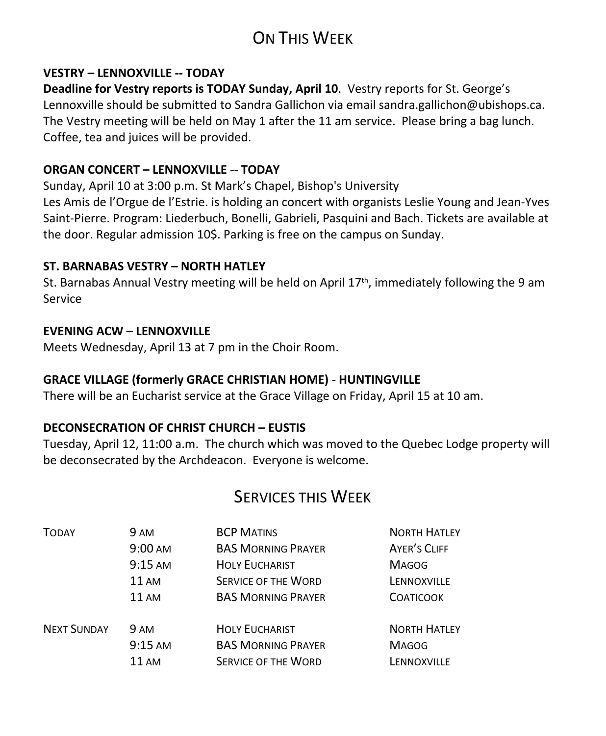# ON THIS WEEK

#### **VESTRY – LENNOXVILLE -- TODAY**

**Deadline for Vestry reports is TODAY Sunday, April 10**. Vestry reports for St. George's Lennoxville should be submitted to Sandra Gallichon via email sandra.gallichon@ubishops.ca. The Vestry meeting will be held on May 1 after the 11 am service. Please bring a bag lunch. Coffee, tea and juices will be provided.

#### **ORGAN CONCERT – LENNOXVILLE -- TODAY**

Sunday, April 10 at 3:00 p.m. St Mark's Chapel, Bishop's University Les Amis de l'Orgue de l'Estrie. is holding an concert with organists Leslie Young and Jean-Yves Saint-Pierre. Program: Liederbuch, Bonelli, Gabrieli, Pasquini and Bach. Tickets are available at the door. Regular admission 10\$. Parking is free on the campus on Sunday.

#### **ST. BARNABAS VESTRY – NORTH HATLEY**

St. Barnabas Annual Vestry meeting will be held on April  $17<sup>th</sup>$ , immediately following the 9 am Service

#### **EVENING ACW – LENNOXVILLE**

Meets Wednesday, April 13 at 7 pm in the Choir Room.

### **GRACE VILLAGE (formerly GRACE CHRISTIAN HOME) - HUNTINGVILLE**

There will be an Eucharist service at the Grace Village on Friday, April 15 at 10 am.

### **DECONSECRATION OF CHRIST CHURCH – EUSTIS**

Tuesday, April 12, 11:00 a.m. The church which was moved to the Quebec Lodge property will be deconsecrated by the Archdeacon. Everyone is welcome.

### SERVICES THIS WEEK

| <b>TODAY</b>       | <b>9 AM</b>       | <b>BCP MATINS</b>          | <b>NORTH HATLEY</b> |
|--------------------|-------------------|----------------------------|---------------------|
|                    | $9:00 \text{ AM}$ | <b>BAS MORNING PRAYER</b>  | AYER'S CLIFF        |
|                    | $9:15$ AM         | <b>HOLY EUCHARIST</b>      | <b>MAGOG</b>        |
|                    | <b>11 AM</b>      | <b>SERVICE OF THE WORD</b> | LENNOXVILLE         |
|                    | <b>11 AM</b>      | <b>BAS MORNING PRAYER</b>  | <b>COATICOOK</b>    |
| <b>NEXT SUNDAY</b> | <b>9 AM</b>       | <b>HOLY EUCHARIST</b>      | <b>NORTH HATLEY</b> |
|                    | $9:15$ AM         | <b>BAS MORNING PRAYER</b>  | <b>MAGOG</b>        |
|                    | $11 \text{ AM}$   | <b>SERVICE OF THE WORD</b> | LENNOXVILLE         |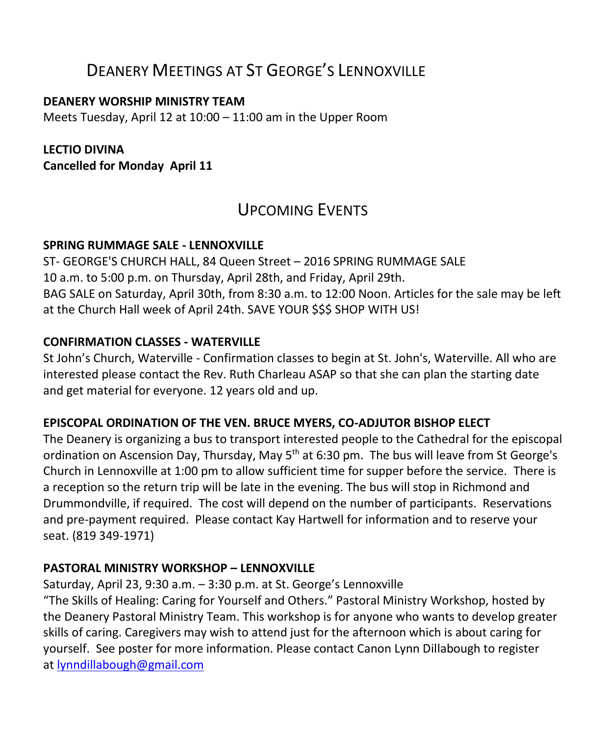### DEANERY MEETINGS AT ST GEORGE'S LENNOXVILLE

#### **DEANERY WORSHIP MINISTRY TEAM**

Meets Tuesday, April 12 at 10:00 – 11:00 am in the Upper Room

### **LECTIO DIVINA**

**Cancelled for Monday April 11**

### UPCOMING EVENTS

### **SPRING RUMMAGE SALE - LENNOXVILLE**

ST- GEORGE'S CHURCH HALL, 84 Queen Street – 2016 SPRING RUMMAGE SALE 10 a.m. to 5:00 p.m. on Thursday, April 28th, and Friday, April 29th. BAG SALE on Saturday, April 30th, from 8:30 a.m. to 12:00 Noon. Articles for the sale may be left at the Church Hall week of April 24th. SAVE YOUR \$\$\$ SHOP WITH US!

### **CONFIRMATION CLASSES - WATERVILLE**

St John's Church, Waterville - Confirmation classes to begin at St. John's, Waterville. All who are interested please contact the Rev. Ruth Charleau ASAP so that she can plan the starting date and get material for everyone. 12 years old and up.

### **EPISCOPAL ORDINATION OF THE VEN. BRUCE MYERS, CO-ADJUTOR BISHOP ELECT**

The Deanery is organizing a bus to transport interested people to the Cathedral for the episcopal ordination on Ascension Day, Thursday, May  $5<sup>th</sup>$  at 6:30 pm. The bus will leave from St George's Church in Lennoxville at 1:00 pm to allow sufficient time for supper before the service. There is a reception so the return trip will be late in the evening. The bus will stop in Richmond and Drummondville, if required. The cost will depend on the number of participants. Reservations and pre-payment required. Please contact Kay Hartwell for information and to reserve your seat. (819 349-1971)

### **PASTORAL MINISTRY WORKSHOP – LENNOXVILLE**

Saturday, April 23, 9:30 a.m. – 3:30 p.m. at St. George's Lennoxville

"The Skills of Healing: Caring for Yourself and Others." Pastoral Ministry Workshop, hosted by the Deanery Pastoral Ministry Team. This workshop is for anyone who wants to develop greater skills of caring. Caregivers may wish to attend just for the afternoon which is about caring for yourself. See poster for more information. Please contact Canon Lynn Dillabough to register at [lynndillabough@gmail.com](https://webmail.ubishops.ca/owa/redir.aspx?REF=I6dyd5yngSmYqYpBD3Z6CoI9tDjv3VCrrEZ7iwAWC0jD6P34dFnTCAFodHRwczovL3dlYm1haWwudWJpc2hvcHMuY2Evb3dhL3JlZGlyLmFzcHg_U1VSTD1oZGpZVVQ3V0NVTllxRlppam96a25NSFdKM2FSeTZ2c3FUenJpbHA1Nlp0UDNfMnMtQlhUQ0cwQVlRQnBBR3dBZEFCdkFEb0FiQUI1QUc0QWJnQmtBR2tBYkFCc0FHRUFZZ0J2QUhVQVp3Qm9BRUFBWndCdEFHRUFhUUJzQUM0QVl3QnZBRzBBJlVSTD1tYWlsdG8lM2FseW5uZGlsbGFib3VnaCU0MGdtYWlsLmNvbQ..)